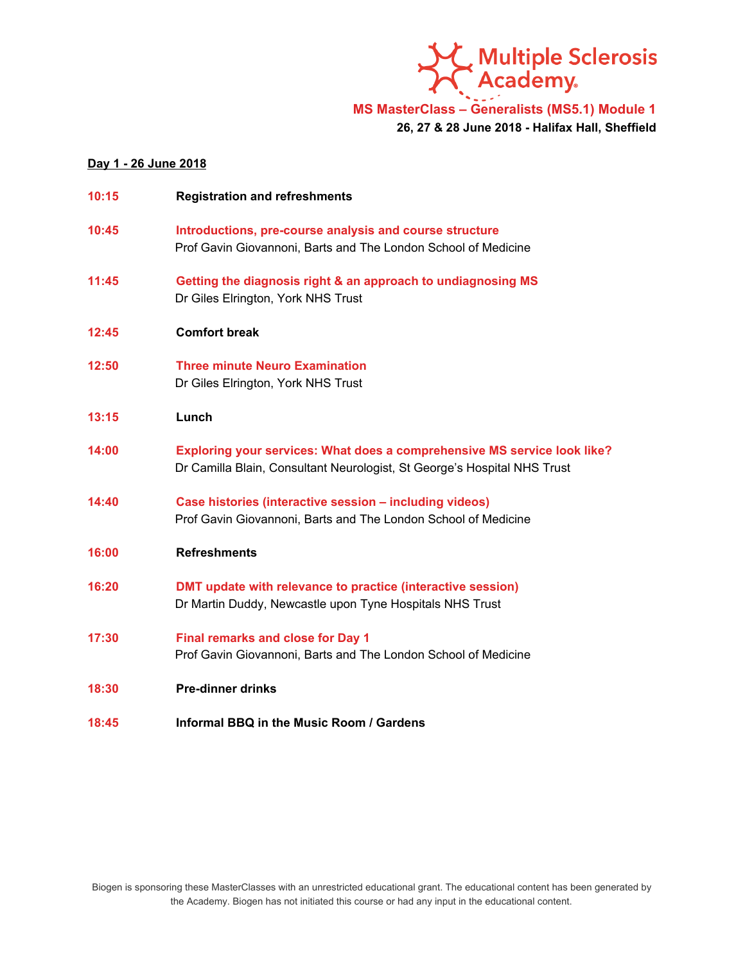

**MS MasterClass – Generalists (MS5.1) Module 1**

**26, 27 & 28 June 2018 - Halifax Hall, Sheffield**

### **Day 1 - 26 June 2018**

| 10:15 | <b>Registration and refreshments</b>                                                                                                                 |
|-------|------------------------------------------------------------------------------------------------------------------------------------------------------|
| 10:45 | Introductions, pre-course analysis and course structure<br>Prof Gavin Giovannoni, Barts and The London School of Medicine                            |
| 11:45 | Getting the diagnosis right & an approach to undiagnosing MS<br>Dr Giles Elrington, York NHS Trust                                                   |
| 12:45 | <b>Comfort break</b>                                                                                                                                 |
| 12:50 | <b>Three minute Neuro Examination</b><br>Dr Giles Elrington, York NHS Trust                                                                          |
| 13:15 | Lunch                                                                                                                                                |
| 14:00 | Exploring your services: What does a comprehensive MS service look like?<br>Dr Camilla Blain, Consultant Neurologist, St George's Hospital NHS Trust |
| 14:40 | Case histories (interactive session - including videos)<br>Prof Gavin Giovannoni, Barts and The London School of Medicine                            |
| 16:00 | <b>Refreshments</b>                                                                                                                                  |
| 16:20 | DMT update with relevance to practice (interactive session)<br>Dr Martin Duddy, Newcastle upon Tyne Hospitals NHS Trust                              |
| 17:30 | <b>Final remarks and close for Day 1</b><br>Prof Gavin Giovannoni, Barts and The London School of Medicine                                           |
| 18:30 | <b>Pre-dinner drinks</b>                                                                                                                             |

**18:45 Informal BBQ in the Music Room / Gardens**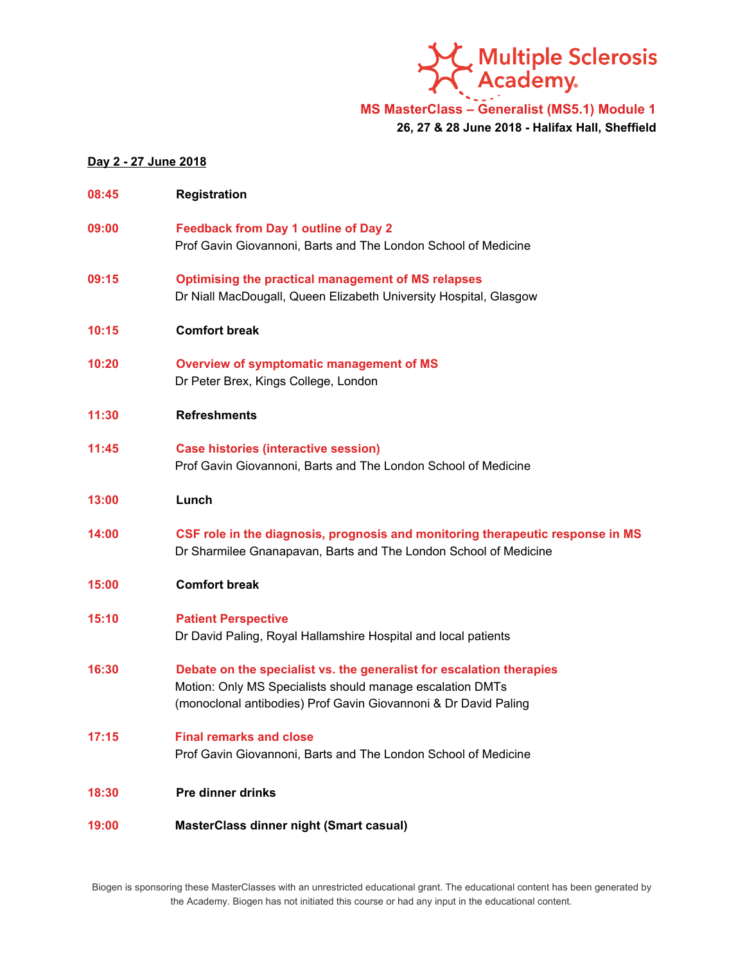

# **MS MasterClass – Generalist (MS5.1) Module 1**

**26, 27 & 28 June 2018 - Halifax Hall, Sheffield**

### **Day 2 - 27 June 2018**

| 08:45 | Registration                                                                                                                                                                                         |
|-------|------------------------------------------------------------------------------------------------------------------------------------------------------------------------------------------------------|
| 09:00 | <b>Feedback from Day 1 outline of Day 2</b><br>Prof Gavin Giovannoni, Barts and The London School of Medicine                                                                                        |
| 09:15 | <b>Optimising the practical management of MS relapses</b><br>Dr Niall MacDougall, Queen Elizabeth University Hospital, Glasgow                                                                       |
| 10:15 | <b>Comfort break</b>                                                                                                                                                                                 |
| 10:20 | Overview of symptomatic management of MS<br>Dr Peter Brex, Kings College, London                                                                                                                     |
| 11:30 | <b>Refreshments</b>                                                                                                                                                                                  |
| 11:45 | <b>Case histories (interactive session)</b><br>Prof Gavin Giovannoni, Barts and The London School of Medicine                                                                                        |
| 13:00 | Lunch                                                                                                                                                                                                |
| 14:00 | CSF role in the diagnosis, prognosis and monitoring therapeutic response in MS<br>Dr Sharmilee Gnanapavan, Barts and The London School of Medicine                                                   |
| 15:00 | <b>Comfort break</b>                                                                                                                                                                                 |
| 15:10 | <b>Patient Perspective</b><br>Dr David Paling, Royal Hallamshire Hospital and local patients                                                                                                         |
| 16:30 | Debate on the specialist vs. the generalist for escalation therapies<br>Motion: Only MS Specialists should manage escalation DMTs<br>(monoclonal antibodies) Prof Gavin Giovannoni & Dr David Paling |
| 17:15 | <b>Final remarks and close</b><br>Prof Gavin Giovannoni, Barts and The London School of Medicine                                                                                                     |
| 18:30 | <b>Pre dinner drinks</b>                                                                                                                                                                             |
| 19:00 | <b>MasterClass dinner night (Smart casual)</b>                                                                                                                                                       |

Biogen is sponsoring these MasterClasses with an unrestricted educational grant. The educational content has been generated by the Academy. Biogen has not initiated this course or had any input in the educational content.